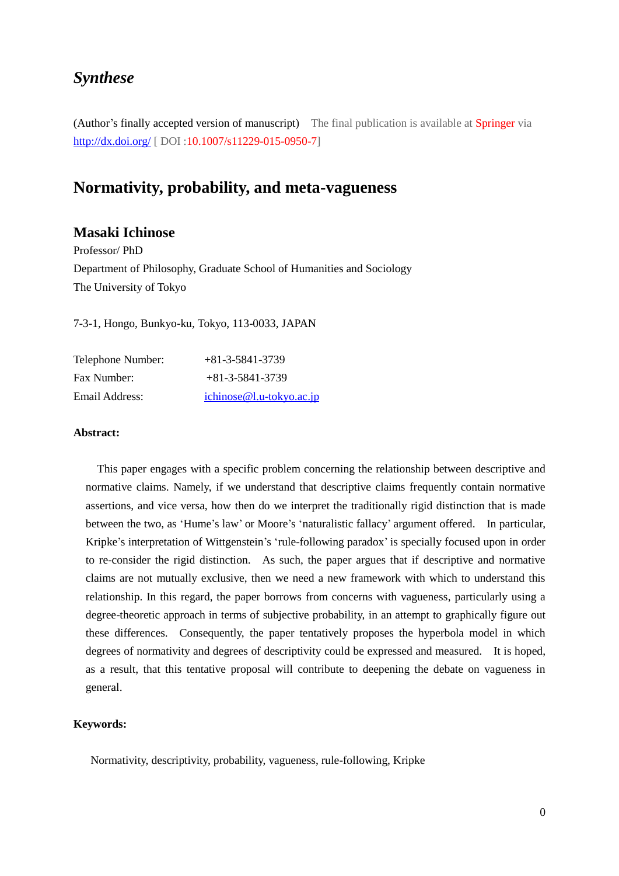# *Synthese*

(Author's finally accepted version of manuscript) The final publication is available at Springer via <http://dx.doi.org/> [ DOI :10.1007/s11229-015-0950-7]

## **Normativity, probability, and meta-vagueness**

## **Masaki Ichinose**

Professor/ PhD Department of Philosophy, Graduate School of Humanities and Sociology The University of Tokyo

7-3-1, Hongo, Bunkyo-ku, Tokyo, 113-0033, JAPAN

| Telephone Number:<br>Fax Number: | $+81 - 3 - 5841 - 3739$<br>$+81 - 3 - 5841 - 3739$ |
|----------------------------------|----------------------------------------------------|
|                                  |                                                    |

#### **Abstract:**

This paper engages with a specific problem concerning the relationship between descriptive and normative claims. Namely, if we understand that descriptive claims frequently contain normative assertions, and vice versa, how then do we interpret the traditionally rigid distinction that is made between the two, as 'Hume's law' or Moore's 'naturalistic fallacy' argument offered. In particular, Kripke's interpretation of Wittgenstein's 'rule-following paradox' is specially focused upon in order to re-consider the rigid distinction. As such, the paper argues that if descriptive and normative claims are not mutually exclusive, then we need a new framework with which to understand this relationship. In this regard, the paper borrows from concerns with vagueness, particularly using a degree-theoretic approach in terms of subjective probability, in an attempt to graphically figure out these differences. Consequently, the paper tentatively proposes the hyperbola model in which degrees of normativity and degrees of descriptivity could be expressed and measured. It is hoped, as a result, that this tentative proposal will contribute to deepening the debate on vagueness in general.

#### **Keywords:**

Normativity, descriptivity, probability, vagueness, rule-following, Kripke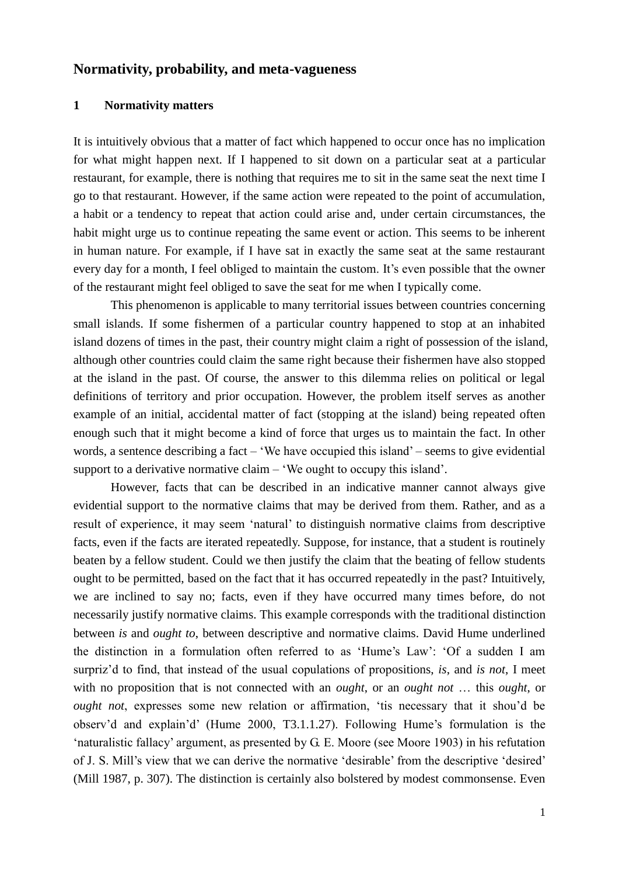## **Normativity, probability, and meta-vagueness**

#### **1 Normativity matters**

It is intuitively obvious that a matter of fact which happened to occur once has no implication for what might happen next. If I happened to sit down on a particular seat at a particular restaurant, for example, there is nothing that requires me to sit in the same seat the next time I go to that restaurant. However, if the same action were repeated to the point of accumulation, a habit or a tendency to repeat that action could arise and, under certain circumstances, the habit might urge us to continue repeating the same event or action. This seems to be inherent in human nature. For example, if I have sat in exactly the same seat at the same restaurant every day for a month, I feel obliged to maintain the custom. It's even possible that the owner of the restaurant might feel obliged to save the seat for me when I typically come.

This phenomenon is applicable to many territorial issues between countries concerning small islands. If some fishermen of a particular country happened to stop at an inhabited island dozens of times in the past, their country might claim a right of possession of the island, although other countries could claim the same right because their fishermen have also stopped at the island in the past. Of course, the answer to this dilemma relies on political or legal definitions of territory and prior occupation. However, the problem itself serves as another example of an initial, accidental matter of fact (stopping at the island) being repeated often enough such that it might become a kind of force that urges us to maintain the fact. In other words, a sentence describing a fact – 'We have occupied this island' – seems to give evidential support to a derivative normative claim – 'We ought to occupy this island'.

However, facts that can be described in an indicative manner cannot always give evidential support to the normative claims that may be derived from them. Rather, and as a result of experience, it may seem 'natural' to distinguish normative claims from descriptive facts, even if the facts are iterated repeatedly. Suppose, for instance, that a student is routinely beaten by a fellow student. Could we then justify the claim that the beating of fellow students ought to be permitted, based on the fact that it has occurred repeatedly in the past? Intuitively, we are inclined to say no; facts, even if they have occurred many times before, do not necessarily justify normative claims. This example corresponds with the traditional distinction between *is* and *ought to*, between descriptive and normative claims. David Hume underlined the distinction in a formulation often referred to as 'Hume's Law': 'Of a sudden I am surpriz'd to find, that instead of the usual copulations of propositions, *is*, and *is not*, I meet with no proposition that is not connected with an *ought*, or an *ought not* … this *ought*, or *ought not*, expresses some new relation or affirmation, 'tis necessary that it shou'd be observ'd and explain'd' (Hume 2000, T3.1.1.27). Following Hume's formulation is the 'naturalistic fallacy' argument, as presented by G. E. Moore (see Moore 1903) in his refutation of J. S. Mill's view that we can derive the normative 'desirable' from the descriptive 'desired' (Mill 1987, p. 307). The distinction is certainly also bolstered by modest commonsense. Even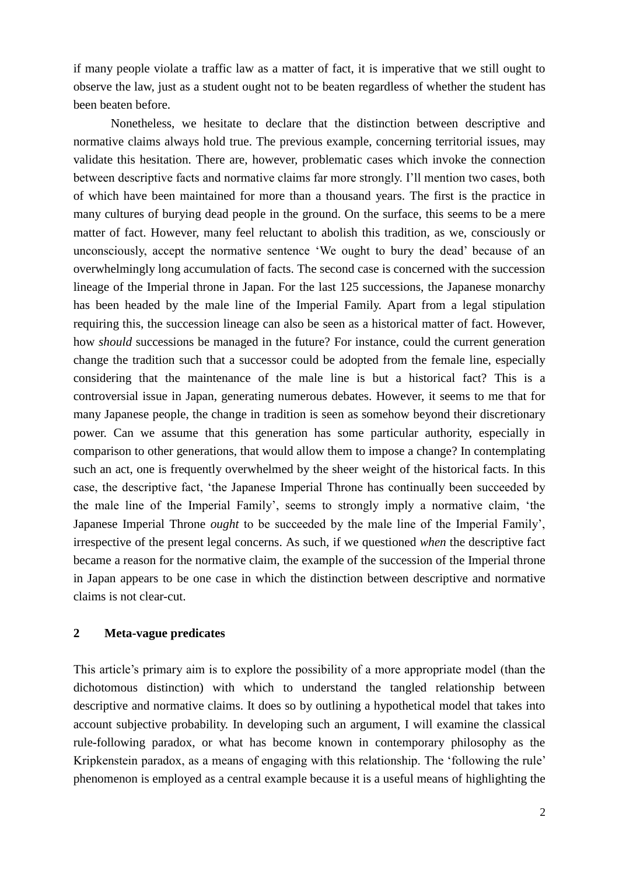if many people violate a traffic law as a matter of fact, it is imperative that we still ought to observe the law, just as a student ought not to be beaten regardless of whether the student has been beaten before.

Nonetheless, we hesitate to declare that the distinction between descriptive and normative claims always hold true. The previous example, concerning territorial issues, may validate this hesitation. There are, however, problematic cases which invoke the connection between descriptive facts and normative claims far more strongly. I'll mention two cases, both of which have been maintained for more than a thousand years. The first is the practice in many cultures of burying dead people in the ground. On the surface, this seems to be a mere matter of fact. However, many feel reluctant to abolish this tradition, as we, consciously or unconsciously, accept the normative sentence 'We ought to bury the dead' because of an overwhelmingly long accumulation of facts. The second case is concerned with the succession lineage of the Imperial throne in Japan. For the last 125 successions, the Japanese monarchy has been headed by the male line of the Imperial Family. Apart from a legal stipulation requiring this, the succession lineage can also be seen as a historical matter of fact. However, how *should* successions be managed in the future? For instance, could the current generation change the tradition such that a successor could be adopted from the female line, especially considering that the maintenance of the male line is but a historical fact? This is a controversial issue in Japan, generating numerous debates. However, it seems to me that for many Japanese people, the change in tradition is seen as somehow beyond their discretionary power. Can we assume that this generation has some particular authority, especially in comparison to other generations, that would allow them to impose a change? In contemplating such an act, one is frequently overwhelmed by the sheer weight of the historical facts. In this case, the descriptive fact, 'the Japanese Imperial Throne has continually been succeeded by the male line of the Imperial Family', seems to strongly imply a normative claim, 'the Japanese Imperial Throne *ought* to be succeeded by the male line of the Imperial Family', irrespective of the present legal concerns. As such, if we questioned *when* the descriptive fact became a reason for the normative claim, the example of the succession of the Imperial throne in Japan appears to be one case in which the distinction between descriptive and normative claims is not clear-cut.

#### **2 Meta-vague predicates**

This article's primary aim is to explore the possibility of a more appropriate model (than the dichotomous distinction) with which to understand the tangled relationship between descriptive and normative claims. It does so by outlining a hypothetical model that takes into account subjective probability. In developing such an argument, I will examine the classical rule-following paradox, or what has become known in contemporary philosophy as the Kripkenstein paradox, as a means of engaging with this relationship. The 'following the rule' phenomenon is employed as a central example because it is a useful means of highlighting the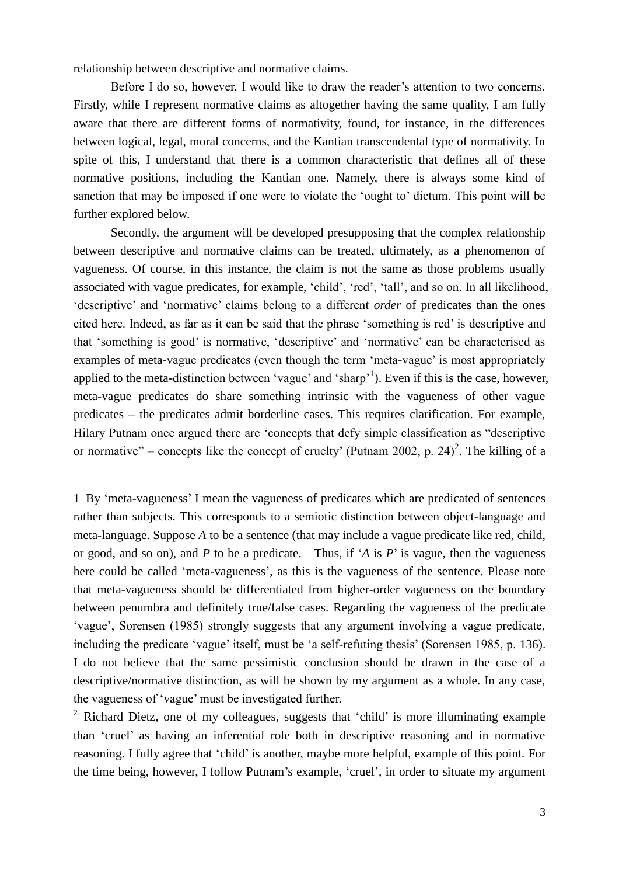relationship between descriptive and normative claims.

1

Before I do so, however, I would like to draw the reader's attention to two concerns. Firstly, while I represent normative claims as altogether having the same quality, I am fully aware that there are different forms of normativity, found, for instance, in the differences between logical, legal, moral concerns, and the Kantian transcendental type of normativity. In spite of this, I understand that there is a common characteristic that defines all of these normative positions, including the Kantian one. Namely, there is always some kind of sanction that may be imposed if one were to violate the 'ought to' dictum. This point will be further explored below.

Secondly, the argument will be developed presupposing that the complex relationship between descriptive and normative claims can be treated, ultimately, as a phenomenon of vagueness. Of course, in this instance, the claim is not the same as those problems usually associated with vague predicates, for example, 'child', 'red', 'tall', and so on. In all likelihood, 'descriptive' and 'normative' claims belong to a different *order* of predicates than the ones cited here. Indeed, as far as it can be said that the phrase 'something is red' is descriptive and that 'something is good' is normative, 'descriptive' and 'normative' can be characterised as examples of meta-vague predicates (even though the term 'meta-vague' is most appropriately applied to the meta-distinction between 'vague' and 'sharp'<sup>1</sup>). Even if this is the case, however, meta-vague predicates do share something intrinsic with the vagueness of other vague predicates – the predicates admit borderline cases. This requires clarification. For example, Hilary Putnam once argued there are 'concepts that defy simple classification as "descriptive or normative" – concepts like the concept of cruelty' (Putnam 2002, p. 24)<sup>2</sup>. The killing of a

<sup>1</sup> By 'meta-vagueness' I mean the vagueness of predicates which are predicated of sentences rather than subjects. This corresponds to a semiotic distinction between object-language and meta-language. Suppose *A* to be a sentence (that may include a vague predicate like red, child, or good, and so on), and *P* to be a predicate. Thus, if '*A* is *P*' is vague, then the vagueness here could be called 'meta-vagueness', as this is the vagueness of the sentence. Please note that meta-vagueness should be differentiated from higher-order vagueness on the boundary between penumbra and definitely true/false cases. Regarding the vagueness of the predicate 'vague', Sorensen (1985) strongly suggests that any argument involving a vague predicate, including the predicate 'vague' itself, must be 'a self-refuting thesis' (Sorensen 1985, p. 136). I do not believe that the same pessimistic conclusion should be drawn in the case of a descriptive/normative distinction, as will be shown by my argument as a whole. In any case, the vagueness of 'vague' must be investigated further.

<sup>&</sup>lt;sup>2</sup> Richard Dietz, one of my colleagues, suggests that 'child' is more illuminating example than 'cruel' as having an inferential role both in descriptive reasoning and in normative reasoning. I fully agree that 'child' is another, maybe more helpful, example of this point. For the time being, however, I follow Putnam's example, 'cruel', in order to situate my argument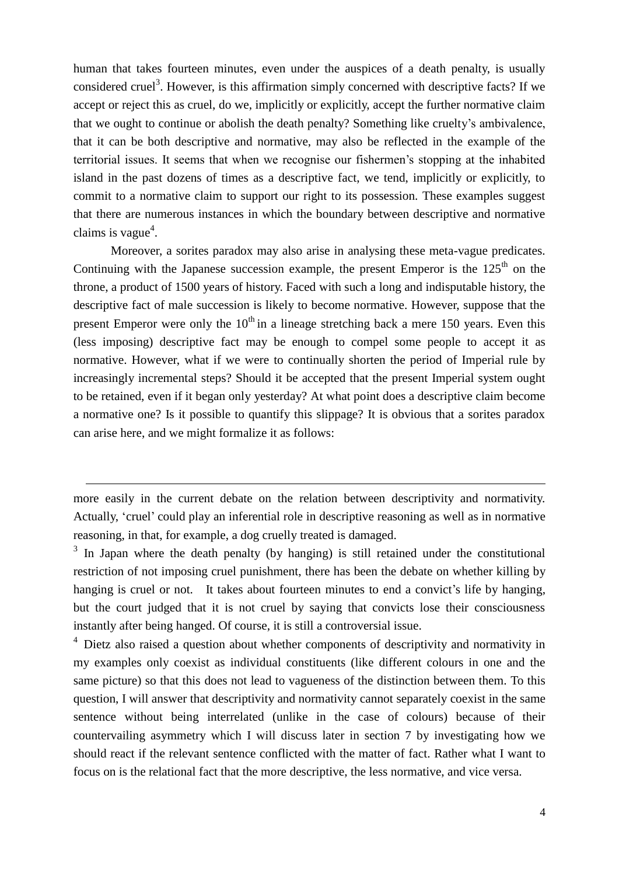human that takes fourteen minutes, even under the auspices of a death penalty, is usually considered cruel<sup>3</sup>. However, is this affirmation simply concerned with descriptive facts? If we accept or reject this as cruel, do we, implicitly or explicitly, accept the further normative claim that we ought to continue or abolish the death penalty? Something like cruelty's ambivalence, that it can be both descriptive and normative, may also be reflected in the example of the territorial issues. It seems that when we recognise our fishermen's stopping at the inhabited island in the past dozens of times as a descriptive fact, we tend, implicitly or explicitly, to commit to a normative claim to support our right to its possession. These examples suggest that there are numerous instances in which the boundary between descriptive and normative claims is vague<sup>4</sup>.

Moreover, a sorites paradox may also arise in analysing these meta-vague predicates. Continuing with the Japanese succession example, the present Emperor is the  $125<sup>th</sup>$  on the throne, a product of 1500 years of history. Faced with such a long and indisputable history, the descriptive fact of male succession is likely to become normative. However, suppose that the present Emperor were only the  $10<sup>th</sup>$  in a lineage stretching back a mere 150 years. Even this (less imposing) descriptive fact may be enough to compel some people to accept it as normative. However, what if we were to continually shorten the period of Imperial rule by increasingly incremental steps? Should it be accepted that the present Imperial system ought to be retained, even if it began only yesterday? At what point does a descriptive claim become a normative one? Is it possible to quantify this slippage? It is obvious that a sorites paradox can arise here, and we might formalize it as follows:

more easily in the current debate on the relation between descriptivity and normativity. Actually, 'cruel' could play an inferential role in descriptive reasoning as well as in normative reasoning, in that, for example, a dog cruelly treated is damaged.

1

 $3$  In Japan where the death penalty (by hanging) is still retained under the constitutional restriction of not imposing cruel punishment, there has been the debate on whether killing by hanging is cruel or not. It takes about fourteen minutes to end a convict's life by hanging, but the court judged that it is not cruel by saying that convicts lose their consciousness instantly after being hanged. Of course, it is still a controversial issue.

 $4\,$  Dietz also raised a question about whether components of descriptivity and normativity in my examples only coexist as individual constituents (like different colours in one and the same picture) so that this does not lead to vagueness of the distinction between them. To this question, I will answer that descriptivity and normativity cannot separately coexist in the same sentence without being interrelated (unlike in the case of colours) because of their countervailing asymmetry which I will discuss later in section 7 by investigating how we should react if the relevant sentence conflicted with the matter of fact. Rather what I want to focus on is the relational fact that the more descriptive, the less normative, and vice versa.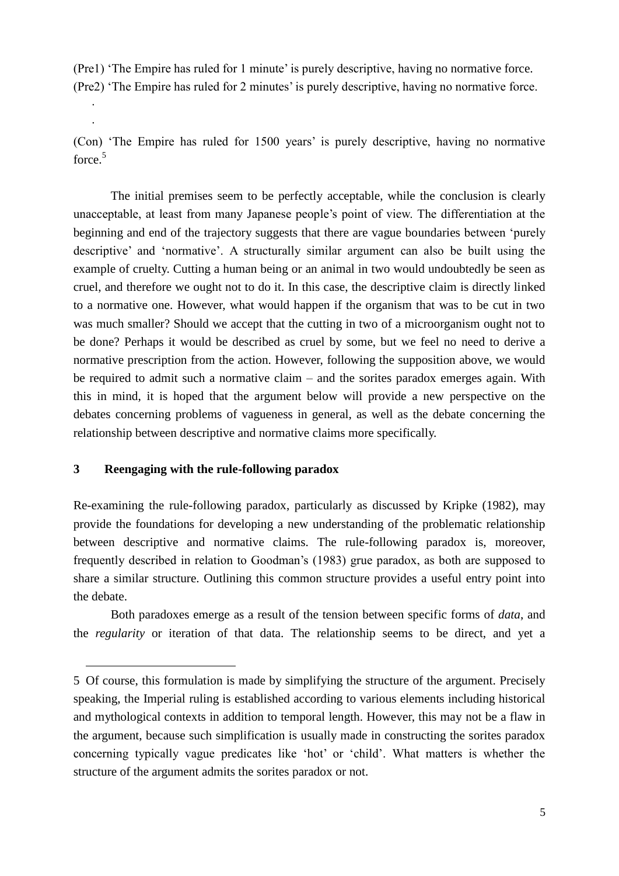(Pre1) 'The Empire has ruled for 1 minute' is purely descriptive, having no normative force. (Pre2) 'The Empire has ruled for 2 minutes' is purely descriptive, having no normative force. ·

(Con) 'The Empire has ruled for 1500 years' is purely descriptive, having no normative force.<sup>5</sup>

The initial premises seem to be perfectly acceptable, while the conclusion is clearly unacceptable, at least from many Japanese people's point of view. The differentiation at the beginning and end of the trajectory suggests that there are vague boundaries between 'purely descriptive' and 'normative'. A structurally similar argument can also be built using the example of cruelty. Cutting a human being or an animal in two would undoubtedly be seen as cruel, and therefore we ought not to do it. In this case, the descriptive claim is directly linked to a normative one. However, what would happen if the organism that was to be cut in two was much smaller? Should we accept that the cutting in two of a microorganism ought not to be done? Perhaps it would be described as cruel by some, but we feel no need to derive a normative prescription from the action. However, following the supposition above, we would be required to admit such a normative claim – and the sorites paradox emerges again. With this in mind, it is hoped that the argument below will provide a new perspective on the debates concerning problems of vagueness in general, as well as the debate concerning the relationship between descriptive and normative claims more specifically.

#### **3 Reengaging with the rule-following paradox**

·

1

Re-examining the rule-following paradox, particularly as discussed by Kripke (1982), may provide the foundations for developing a new understanding of the problematic relationship between descriptive and normative claims. The rule-following paradox is, moreover, frequently described in relation to Goodman's (1983) grue paradox, as both are supposed to share a similar structure. Outlining this common structure provides a useful entry point into the debate.

Both paradoxes emerge as a result of the tension between specific forms of *data*, and the *regularity* or iteration of that data. The relationship seems to be direct, and yet a

<sup>5</sup> Of course, this formulation is made by simplifying the structure of the argument. Precisely speaking, the Imperial ruling is established according to various elements including historical and mythological contexts in addition to temporal length. However, this may not be a flaw in the argument, because such simplification is usually made in constructing the sorites paradox concerning typically vague predicates like 'hot' or 'child'. What matters is whether the structure of the argument admits the sorites paradox or not.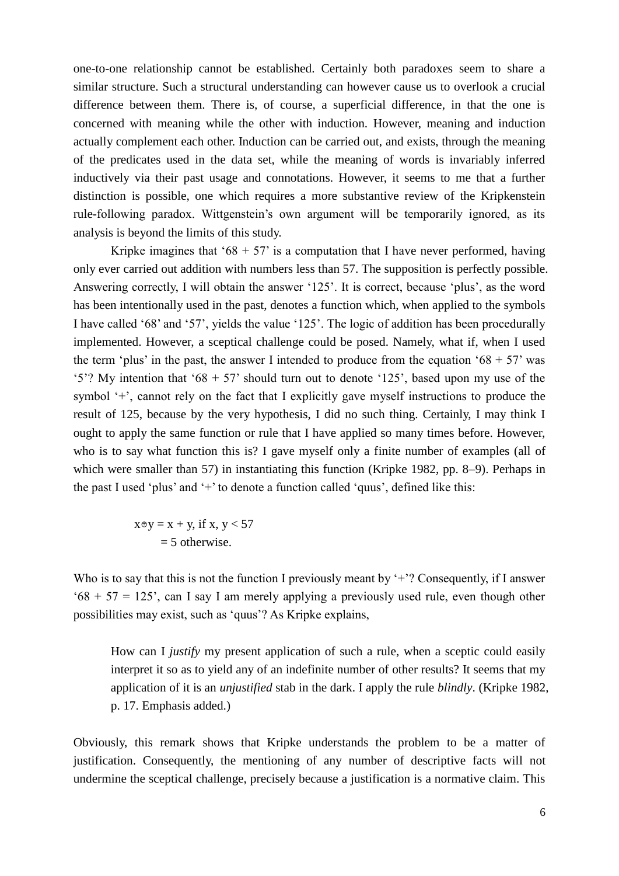one-to-one relationship cannot be established. Certainly both paradoxes seem to share a similar structure. Such a structural understanding can however cause us to overlook a crucial difference between them. There is, of course, a superficial difference, in that the one is concerned with meaning while the other with induction. However, meaning and induction actually complement each other. Induction can be carried out, and exists, through the meaning of the predicates used in the data set, while the meaning of words is invariably inferred inductively via their past usage and connotations. However, it seems to me that a further distinction is possible, one which requires a more substantive review of the Kripkenstein rule-following paradox. Wittgenstein's own argument will be temporarily ignored, as its analysis is beyond the limits of this study.

Kripke imagines that '68 + 57' is a computation that I have never performed, having only ever carried out addition with numbers less than 57. The supposition is perfectly possible. Answering correctly, I will obtain the answer '125'. It is correct, because 'plus', as the word has been intentionally used in the past, denotes a function which, when applied to the symbols I have called '68' and '57', yields the value '125'. The logic of addition has been procedurally implemented. However, a sceptical challenge could be posed. Namely, what if, when I used the term 'plus' in the past, the answer I intended to produce from the equation '68 + 57' was '5'? My intention that '68 + 57' should turn out to denote '125', based upon my use of the symbol '+', cannot rely on the fact that I explicitly gave myself instructions to produce the result of 125, because by the very hypothesis, I did no such thing. Certainly, I may think I ought to apply the same function or rule that I have applied so many times before. However, who is to say what function this is? I gave myself only a finite number of examples (all of which were smaller than 57) in instantiating this function (Kripke 1982, pp. 8–9). Perhaps in the past I used 'plus' and '+' to denote a function called 'quus', defined like this:

$$
x \oplus y = x + y, \text{ if } x, y < 57
$$
\n
$$
= 5 \text{ otherwise.}
$$

Who is to say that this is not the function I previously meant by '+'? Consequently, if I answer  $68 + 57 = 125$ , can I say I am merely applying a previously used rule, even though other possibilities may exist, such as 'quus'? As Kripke explains,

How can I *justify* my present application of such a rule, when a sceptic could easily interpret it so as to yield any of an indefinite number of other results? It seems that my application of it is an *unjustified* stab in the dark. I apply the rule *blindly*. (Kripke 1982, p. 17. Emphasis added.)

Obviously, this remark shows that Kripke understands the problem to be a matter of justification. Consequently, the mentioning of any number of descriptive facts will not undermine the sceptical challenge, precisely because a justification is a normative claim. This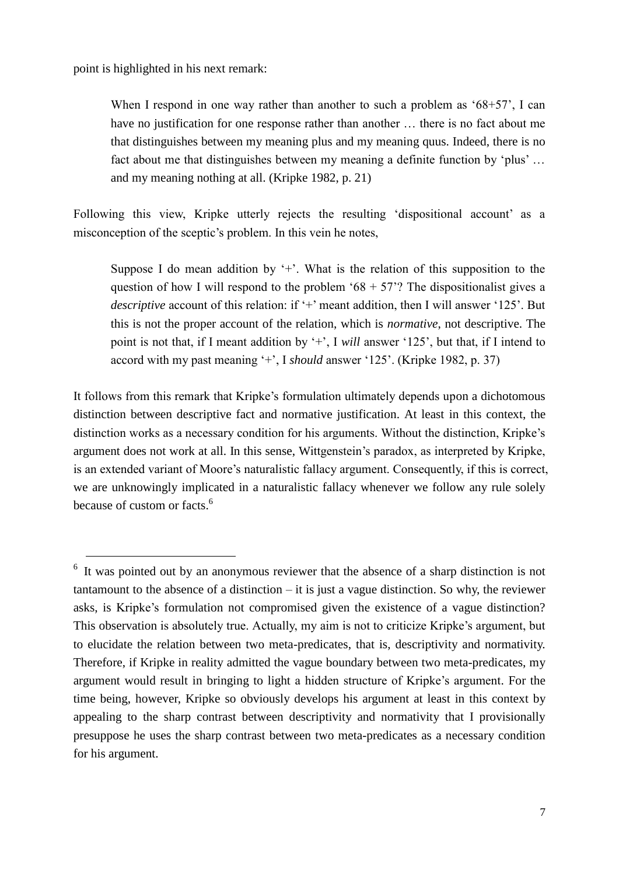point is highlighted in his next remark:

1

When I respond in one way rather than another to such a problem as '68+57', I can have no justification for one response rather than another ... there is no fact about me that distinguishes between my meaning plus and my meaning quus. Indeed, there is no fact about me that distinguishes between my meaning a definite function by 'plus' … and my meaning nothing at all. (Kripke 1982, p. 21)

Following this view, Kripke utterly rejects the resulting 'dispositional account' as a misconception of the sceptic's problem. In this vein he notes,

Suppose I do mean addition by  $+$ . What is the relation of this supposition to the question of how I will respond to the problem '68 + 57'? The dispositionalist gives a *descriptive* account of this relation: if '+' meant addition, then I will answer '125'. But this is not the proper account of the relation, which is *normative*, not descriptive. The point is not that, if I meant addition by '+', I *will* answer '125', but that, if I intend to accord with my past meaning '+', I *should* answer '125'. (Kripke 1982, p. 37)

It follows from this remark that Kripke's formulation ultimately depends upon a dichotomous distinction between descriptive fact and normative justification. At least in this context, the distinction works as a necessary condition for his arguments. Without the distinction, Kripke's argument does not work at all. In this sense, Wittgenstein's paradox, as interpreted by Kripke, is an extended variant of Moore's naturalistic fallacy argument. Consequently, if this is correct, we are unknowingly implicated in a naturalistic fallacy whenever we follow any rule solely because of custom or facts.<sup>6</sup>

<sup>&</sup>lt;sup>6</sup> It was pointed out by an anonymous reviewer that the absence of a sharp distinction is not tantamount to the absence of a distinction – it is just a vague distinction. So why, the reviewer asks, is Kripke's formulation not compromised given the existence of a vague distinction? This observation is absolutely true. Actually, my aim is not to criticize Kripke's argument, but to elucidate the relation between two meta-predicates, that is, descriptivity and normativity. Therefore, if Kripke in reality admitted the vague boundary between two meta-predicates, my argument would result in bringing to light a hidden structure of Kripke's argument. For the time being, however, Kripke so obviously develops his argument at least in this context by appealing to the sharp contrast between descriptivity and normativity that I provisionally presuppose he uses the sharp contrast between two meta-predicates as a necessary condition for his argument.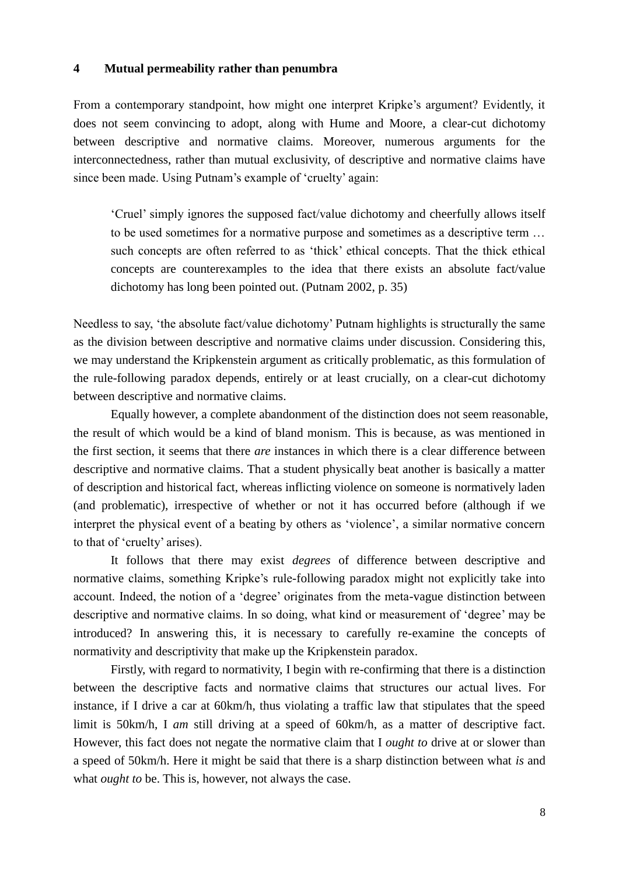#### **4 Mutual permeability rather than penumbra**

From a contemporary standpoint, how might one interpret Kripke's argument? Evidently, it does not seem convincing to adopt, along with Hume and Moore, a clear-cut dichotomy between descriptive and normative claims. Moreover, numerous arguments for the interconnectedness, rather than mutual exclusivity, of descriptive and normative claims have since been made. Using Putnam's example of 'cruelty' again:

'Cruel' simply ignores the supposed fact/value dichotomy and cheerfully allows itself to be used sometimes for a normative purpose and sometimes as a descriptive term … such concepts are often referred to as 'thick' ethical concepts. That the thick ethical concepts are counterexamples to the idea that there exists an absolute fact/value dichotomy has long been pointed out. (Putnam 2002, p. 35)

Needless to say, 'the absolute fact/value dichotomy' Putnam highlights is structurally the same as the division between descriptive and normative claims under discussion. Considering this, we may understand the Kripkenstein argument as critically problematic, as this formulation of the rule-following paradox depends, entirely or at least crucially, on a clear-cut dichotomy between descriptive and normative claims.

Equally however, a complete abandonment of the distinction does not seem reasonable, the result of which would be a kind of bland monism. This is because, as was mentioned in the first section, it seems that there *are* instances in which there is a clear difference between descriptive and normative claims. That a student physically beat another is basically a matter of description and historical fact, whereas inflicting violence on someone is normatively laden (and problematic), irrespective of whether or not it has occurred before (although if we interpret the physical event of a beating by others as 'violence', a similar normative concern to that of 'cruelty' arises).

It follows that there may exist *degrees* of difference between descriptive and normative claims, something Kripke's rule-following paradox might not explicitly take into account. Indeed, the notion of a 'degree' originates from the meta-vague distinction between descriptive and normative claims. In so doing, what kind or measurement of 'degree' may be introduced? In answering this, it is necessary to carefully re-examine the concepts of normativity and descriptivity that make up the Kripkenstein paradox.

Firstly, with regard to normativity, I begin with re-confirming that there is a distinction between the descriptive facts and normative claims that structures our actual lives. For instance, if I drive a car at 60km/h, thus violating a traffic law that stipulates that the speed limit is 50km/h, I *am* still driving at a speed of 60km/h, as a matter of descriptive fact. However, this fact does not negate the normative claim that I *ought to* drive at or slower than a speed of 50km/h. Here it might be said that there is a sharp distinction between what *is* and what *ought to* be. This is, however, not always the case.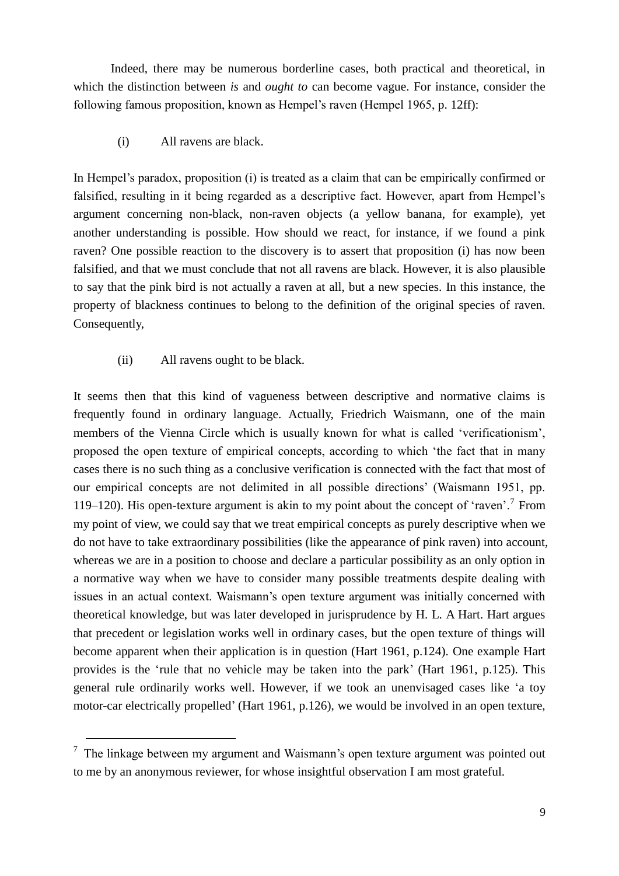Indeed, there may be numerous borderline cases, both practical and theoretical, in which the distinction between *is* and *ought to* can become vague. For instance, consider the following famous proposition, known as Hempel's raven (Hempel 1965, p. 12ff):

(i) All ravens are black.

In Hempel's paradox, proposition (i) is treated as a claim that can be empirically confirmed or falsified, resulting in it being regarded as a descriptive fact. However, apart from Hempel's argument concerning non-black, non-raven objects (a yellow banana, for example), yet another understanding is possible. How should we react, for instance, if we found a pink raven? One possible reaction to the discovery is to assert that proposition (i) has now been falsified, and that we must conclude that not all ravens are black. However, it is also plausible to say that the pink bird is not actually a raven at all, but a new species. In this instance, the property of blackness continues to belong to the definition of the original species of raven. Consequently,

(ii) All ravens ought to be black.

-

It seems then that this kind of vagueness between descriptive and normative claims is frequently found in ordinary language. Actually, Friedrich Waismann, one of the main members of the Vienna Circle which is usually known for what is called 'verificationism', proposed the open texture of empirical concepts, according to which 'the fact that in many cases there is no such thing as a conclusive verification is connected with the fact that most of our empirical concepts are not delimited in all possible directions' (Waismann 1951, pp. 119–120). His open-texture argument is akin to my point about the concept of 'raven'.<sup>7</sup> From my point of view, we could say that we treat empirical concepts as purely descriptive when we do not have to take extraordinary possibilities (like the appearance of pink raven) into account, whereas we are in a position to choose and declare a particular possibility as an only option in a normative way when we have to consider many possible treatments despite dealing with issues in an actual context. Waismann's open texture argument was initially concerned with theoretical knowledge, but was later developed in jurisprudence by H. L. A Hart. Hart argues that precedent or legislation works well in ordinary cases, but the open texture of things will become apparent when their application is in question (Hart 1961, p.124). One example Hart provides is the 'rule that no vehicle may be taken into the park' (Hart 1961, p.125). This general rule ordinarily works well. However, if we took an unenvisaged cases like 'a toy motor-car electrically propelled' (Hart 1961, p.126), we would be involved in an open texture,

 $7$  The linkage between my argument and Waismann's open texture argument was pointed out to me by an anonymous reviewer, for whose insightful observation I am most grateful.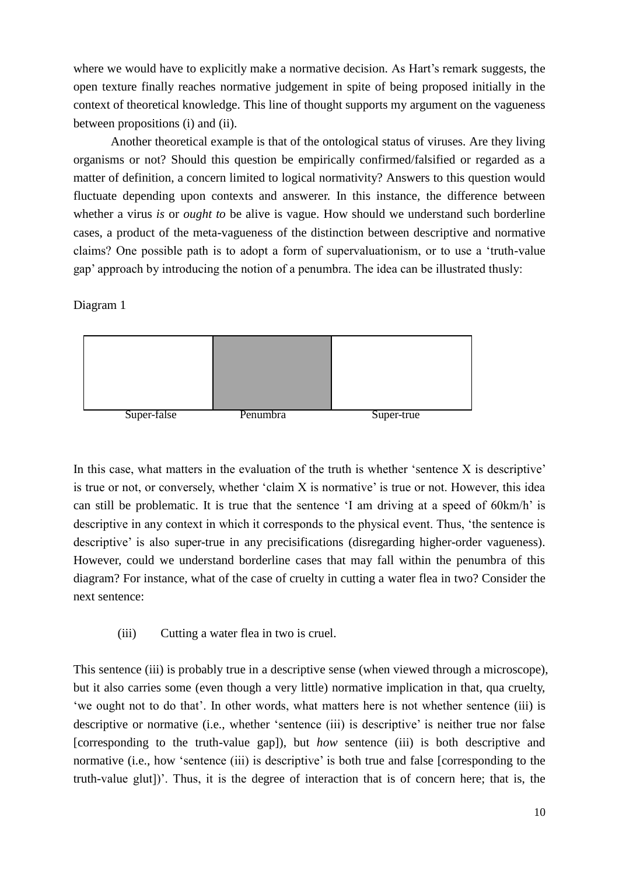where we would have to explicitly make a normative decision. As Hart's remark suggests, the open texture finally reaches normative judgement in spite of being proposed initially in the context of theoretical knowledge. This line of thought supports my argument on the vagueness between propositions (i) and (ii).

Another theoretical example is that of the ontological status of viruses. Are they living organisms or not? Should this question be empirically confirmed/falsified or regarded as a matter of definition, a concern limited to logical normativity? Answers to this question would fluctuate depending upon contexts and answerer. In this instance, the difference between whether a virus *is* or *ought to* be alive is vague. How should we understand such borderline cases, a product of the meta-vagueness of the distinction between descriptive and normative claims? One possible path is to adopt a form of supervaluationism, or to use a 'truth-value gap' approach by introducing the notion of a penumbra. The idea can be illustrated thusly:

Diagram 1



In this case, what matters in the evaluation of the truth is whether 'sentence  $X$  is descriptive' is true or not, or conversely, whether 'claim X is normative' is true or not. However, this idea can still be problematic. It is true that the sentence 'I am driving at a speed of 60km/h' is descriptive in any context in which it corresponds to the physical event. Thus, 'the sentence is descriptive' is also super-true in any precisifications (disregarding higher-order vagueness). However, could we understand borderline cases that may fall within the penumbra of this diagram? For instance, what of the case of cruelty in cutting a water flea in two? Consider the next sentence:

(iii) Cutting a water flea in two is cruel.

This sentence (iii) is probably true in a descriptive sense (when viewed through a microscope), but it also carries some (even though a very little) normative implication in that, qua cruelty, 'we ought not to do that'. In other words, what matters here is not whether sentence (iii) is descriptive or normative (i.e., whether 'sentence (iii) is descriptive' is neither true nor false [corresponding to the truth-value gap]), but *how* sentence (iii) is both descriptive and normative (i.e., how 'sentence (iii) is descriptive' is both true and false [corresponding to the truth-value glut])'. Thus, it is the degree of interaction that is of concern here; that is, the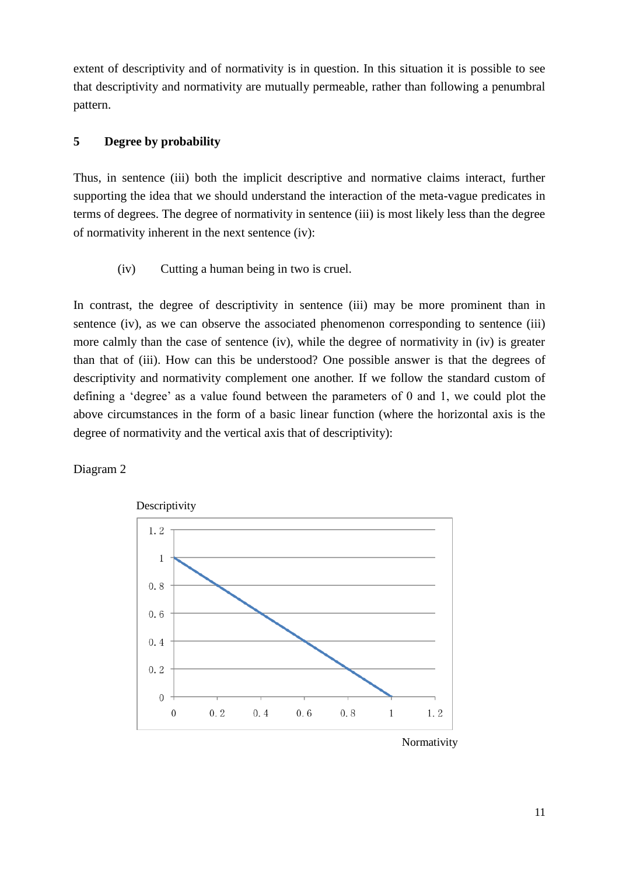extent of descriptivity and of normativity is in question. In this situation it is possible to see that descriptivity and normativity are mutually permeable, rather than following a penumbral pattern.

### **5 Degree by probability**

Thus, in sentence (iii) both the implicit descriptive and normative claims interact, further supporting the idea that we should understand the interaction of the meta-vague predicates in terms of degrees. The degree of normativity in sentence (iii) is most likely less than the degree of normativity inherent in the next sentence (iv):

(iv) Cutting a human being in two is cruel.

In contrast, the degree of descriptivity in sentence (iii) may be more prominent than in sentence (iv), as we can observe the associated phenomenon corresponding to sentence (iii) more calmly than the case of sentence (iv), while the degree of normativity in (iv) is greater than that of (iii). How can this be understood? One possible answer is that the degrees of descriptivity and normativity complement one another. If we follow the standard custom of defining a 'degree' as a value found between the parameters of 0 and 1, we could plot the above circumstances in the form of a basic linear function (where the horizontal axis is the degree of normativity and the vertical axis that of descriptivity):

#### Diagram 2



Normativity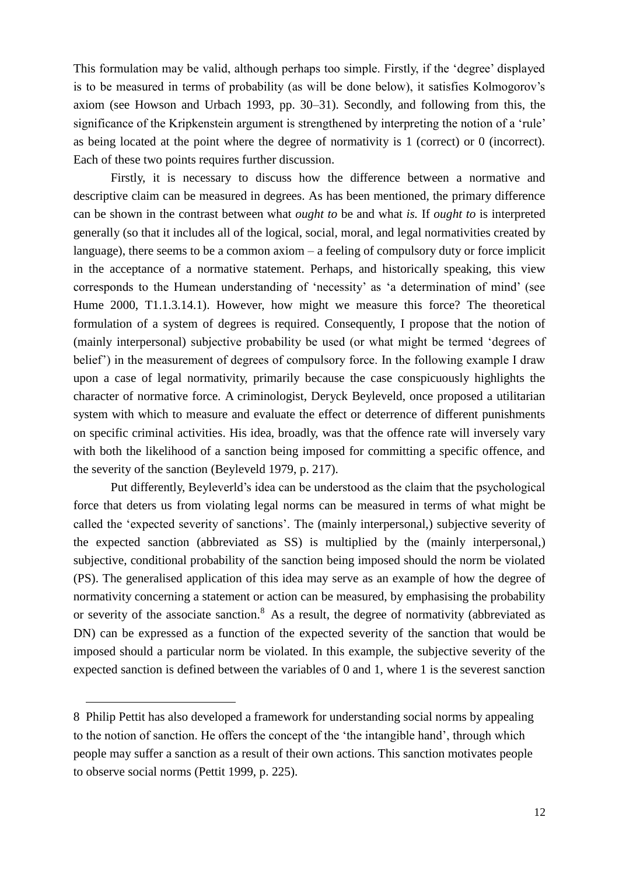This formulation may be valid, although perhaps too simple. Firstly, if the 'degree' displayed is to be measured in terms of probability (as will be done below), it satisfies Kolmogorov's axiom (see Howson and Urbach 1993, pp. 30–31). Secondly, and following from this, the significance of the Kripkenstein argument is strengthened by interpreting the notion of a 'rule' as being located at the point where the degree of normativity is 1 (correct) or 0 (incorrect). Each of these two points requires further discussion.

Firstly, it is necessary to discuss how the difference between a normative and descriptive claim can be measured in degrees. As has been mentioned, the primary difference can be shown in the contrast between what *ought to* be and what *is.* If *ought to* is interpreted generally (so that it includes all of the logical, social, moral, and legal normativities created by language), there seems to be a common axiom – a feeling of compulsory duty or force implicit in the acceptance of a normative statement. Perhaps, and historically speaking, this view corresponds to the Humean understanding of 'necessity' as 'a determination of mind' (see Hume 2000, T1.1.3.14.1). However, how might we measure this force? The theoretical formulation of a system of degrees is required. Consequently, I propose that the notion of (mainly interpersonal) subjective probability be used (or what might be termed 'degrees of belief') in the measurement of degrees of compulsory force. In the following example I draw upon a case of legal normativity, primarily because the case conspicuously highlights the character of normative force. A criminologist, Deryck Beyleveld, once proposed a utilitarian system with which to measure and evaluate the effect or deterrence of different punishments on specific criminal activities. His idea, broadly, was that the offence rate will inversely vary with both the likelihood of a sanction being imposed for committing a specific offence, and the severity of the sanction (Beyleveld 1979, p. 217).

Put differently, Beyleverld's idea can be understood as the claim that the psychological force that deters us from violating legal norms can be measured in terms of what might be called the 'expected severity of sanctions'. The (mainly interpersonal,) subjective severity of the expected sanction (abbreviated as SS) is multiplied by the (mainly interpersonal,) subjective, conditional probability of the sanction being imposed should the norm be violated (PS). The generalised application of this idea may serve as an example of how the degree of normativity concerning a statement or action can be measured, by emphasising the probability or severity of the associate sanction.<sup>8</sup> As a result, the degree of normativity (abbreviated as DN) can be expressed as a function of the expected severity of the sanction that would be imposed should a particular norm be violated. In this example, the subjective severity of the expected sanction is defined between the variables of 0 and 1, where 1 is the severest sanction

-

<sup>8</sup> Philip Pettit has also developed a framework for understanding social norms by appealing to the notion of sanction. He offers the concept of the 'the intangible hand', through which people may suffer a sanction as a result of their own actions. This sanction motivates people to observe social norms (Pettit 1999, p. 225).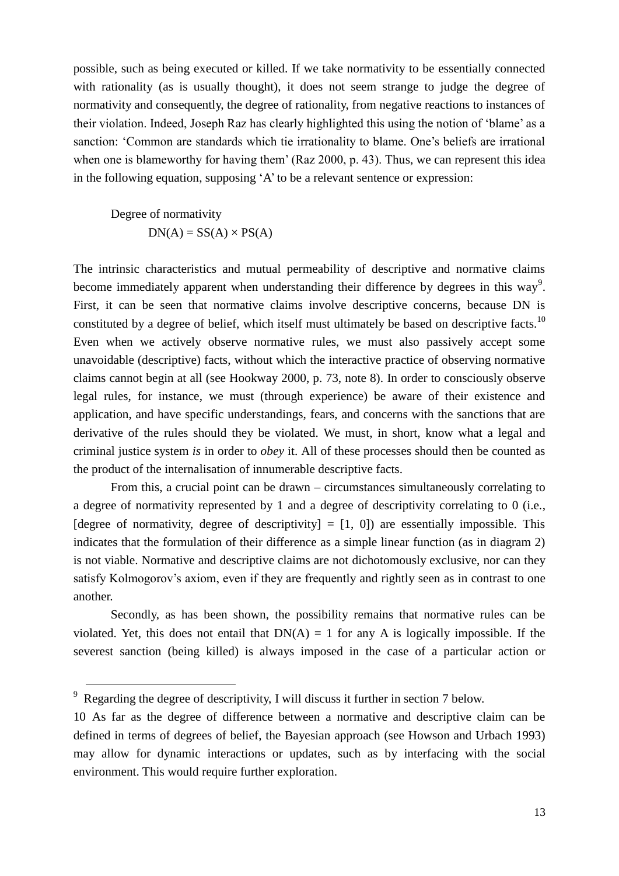possible, such as being executed or killed. If we take normativity to be essentially connected with rationality (as is usually thought), it does not seem strange to judge the degree of normativity and consequently, the degree of rationality, from negative reactions to instances of their violation. Indeed, Joseph Raz has clearly highlighted this using the notion of 'blame' as a sanction: 'Common are standards which tie irrationality to blame. One's beliefs are irrational when one is blameworthy for having them' (Raz 2000, p. 43). Thus, we can represent this idea in the following equation, supposing 'A' to be a relevant sentence or expression:

Degree of normativity  $DN(A) = SS(A) \times PS(A)$ 

The intrinsic characteristics and mutual permeability of descriptive and normative claims become immediately apparent when understanding their difference by degrees in this way<sup>9</sup>. First, it can be seen that normative claims involve descriptive concerns, because DN is constituted by a degree of belief, which itself must ultimately be based on descriptive facts.<sup>10</sup> Even when we actively observe normative rules, we must also passively accept some unavoidable (descriptive) facts, without which the interactive practice of observing normative claims cannot begin at all (see Hookway 2000, p. 73, note 8). In order to consciously observe legal rules, for instance, we must (through experience) be aware of their existence and application, and have specific understandings, fears, and concerns with the sanctions that are derivative of the rules should they be violated. We must, in short, know what a legal and criminal justice system *is* in order to *obey* it. All of these processes should then be counted as the product of the internalisation of innumerable descriptive facts.

From this, a crucial point can be drawn – circumstances simultaneously correlating to a degree of normativity represented by 1 and a degree of descriptivity correlating to 0 (i.e., [degree of normativity, degree of descriptivity]  $= [1, 0]$  are essentially impossible. This indicates that the formulation of their difference as a simple linear function (as in diagram 2) is not viable. Normative and descriptive claims are not dichotomously exclusive, nor can they satisfy Kolmogorov's axiom, even if they are frequently and rightly seen as in contrast to one another.

Secondly, as has been shown, the possibility remains that normative rules can be violated. Yet, this does not entail that  $DN(A) = 1$  for any A is logically impossible. If the severest sanction (being killed) is always imposed in the case of a particular action or

-

<sup>&</sup>lt;sup>9</sup> Regarding the degree of descriptivity, I will discuss it further in section 7 below.

<sup>10</sup> As far as the degree of difference between a normative and descriptive claim can be defined in terms of degrees of belief, the Bayesian approach (see Howson and Urbach 1993) may allow for dynamic interactions or updates, such as by interfacing with the social environment. This would require further exploration.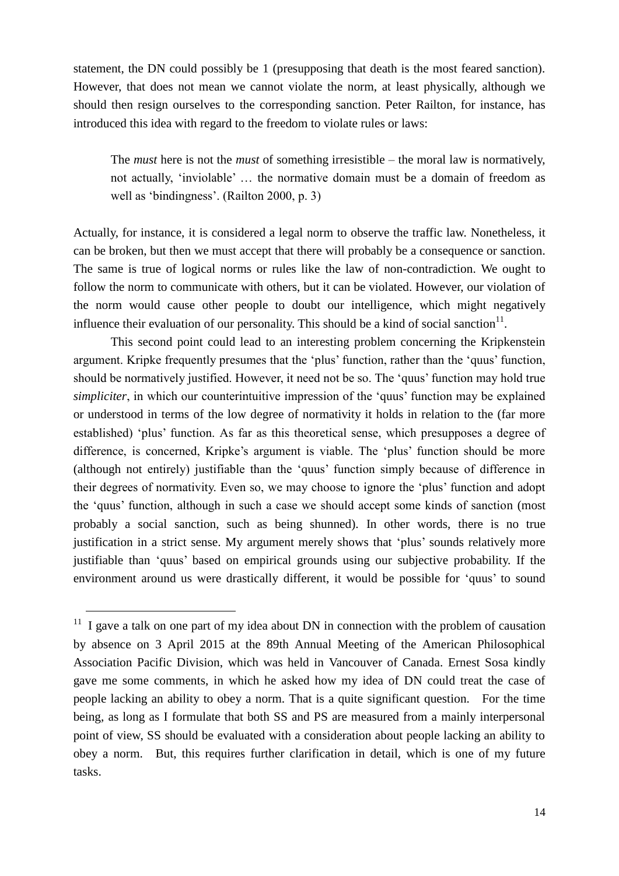statement, the DN could possibly be 1 (presupposing that death is the most feared sanction). However, that does not mean we cannot violate the norm, at least physically, although we should then resign ourselves to the corresponding sanction. Peter Railton, for instance, has introduced this idea with regard to the freedom to violate rules or laws:

The *must* here is not the *must* of something irresistible – the moral law is normatively, not actually, 'inviolable' … the normative domain must be a domain of freedom as well as 'bindingness'. (Railton 2000, p. 3)

Actually, for instance, it is considered a legal norm to observe the traffic law. Nonetheless, it can be broken, but then we must accept that there will probably be a consequence or sanction. The same is true of logical norms or rules like the law of non-contradiction. We ought to follow the norm to communicate with others, but it can be violated. However, our violation of the norm would cause other people to doubt our intelligence, which might negatively influence their evaluation of our personality. This should be a kind of social sanction<sup>11</sup>.

This second point could lead to an interesting problem concerning the Kripkenstein argument. Kripke frequently presumes that the 'plus' function, rather than the 'quus' function, should be normatively justified. However, it need not be so. The 'quus' function may hold true *simpliciter*, in which our counterintuitive impression of the 'quus' function may be explained or understood in terms of the low degree of normativity it holds in relation to the (far more established) 'plus' function. As far as this theoretical sense, which presupposes a degree of difference, is concerned, Kripke's argument is viable. The 'plus' function should be more (although not entirely) justifiable than the 'quus' function simply because of difference in their degrees of normativity. Even so, we may choose to ignore the 'plus' function and adopt the 'quus' function, although in such a case we should accept some kinds of sanction (most probably a social sanction, such as being shunned). In other words, there is no true justification in a strict sense. My argument merely shows that 'plus' sounds relatively more justifiable than 'quus' based on empirical grounds using our subjective probability. If the environment around us were drastically different, it would be possible for 'quus' to sound

1

 $11$  I gave a talk on one part of my idea about DN in connection with the problem of causation by absence on 3 April 2015 at the 89th Annual Meeting of the American Philosophical Association Pacific Division, which was held in Vancouver of Canada. Ernest Sosa kindly gave me some comments, in which he asked how my idea of DN could treat the case of people lacking an ability to obey a norm. That is a quite significant question. For the time being, as long as I formulate that both SS and PS are measured from a mainly interpersonal point of view, SS should be evaluated with a consideration about people lacking an ability to obey a norm. But, this requires further clarification in detail, which is one of my future tasks.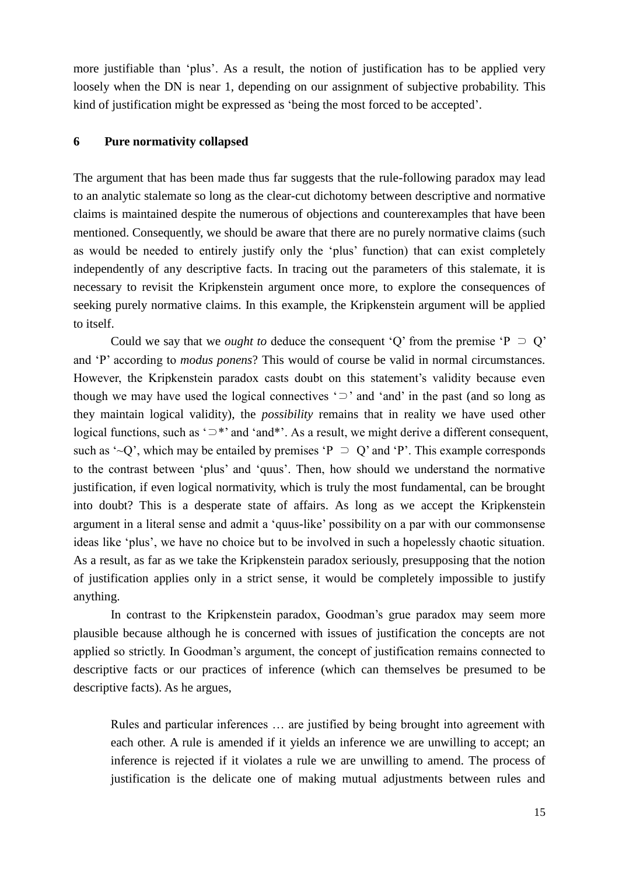more justifiable than 'plus'. As a result, the notion of justification has to be applied very loosely when the DN is near 1, depending on our assignment of subjective probability. This kind of justification might be expressed as 'being the most forced to be accepted'.

#### **6 Pure normativity collapsed**

The argument that has been made thus far suggests that the rule-following paradox may lead to an analytic stalemate so long as the clear-cut dichotomy between descriptive and normative claims is maintained despite the numerous of objections and counterexamples that have been mentioned. Consequently, we should be aware that there are no purely normative claims (such as would be needed to entirely justify only the 'plus' function) that can exist completely independently of any descriptive facts. In tracing out the parameters of this stalemate, it is necessary to revisit the Kripkenstein argument once more, to explore the consequences of seeking purely normative claims. In this example, the Kripkenstein argument will be applied to itself.

Could we say that we *ought to* deduce the consequent 'Q' from the premise 'P  $\supset$  Q' and 'P' according to *modus ponens*? This would of course be valid in normal circumstances. However, the Kripkenstein paradox casts doubt on this statement's validity because even though we may have used the logical connectives ' $\supset$ ' and 'and' in the past (and so long as they maintain logical validity), the *possibility* remains that in reality we have used other logical functions, such as '⊃\*' and 'and\*'. As a result, we might derive a different consequent, such as '~Q', which may be entailed by premises 'P  $\supset Q$ ' and 'P'. This example corresponds to the contrast between 'plus' and 'quus'. Then, how should we understand the normative justification, if even logical normativity, which is truly the most fundamental, can be brought into doubt? This is a desperate state of affairs. As long as we accept the Kripkenstein argument in a literal sense and admit a 'quus-like' possibility on a par with our commonsense ideas like 'plus', we have no choice but to be involved in such a hopelessly chaotic situation. As a result, as far as we take the Kripkenstein paradox seriously, presupposing that the notion of justification applies only in a strict sense, it would be completely impossible to justify anything.

In contrast to the Kripkenstein paradox, Goodman's grue paradox may seem more plausible because although he is concerned with issues of justification the concepts are not applied so strictly. In Goodman's argument, the concept of justification remains connected to descriptive facts or our practices of inference (which can themselves be presumed to be descriptive facts). As he argues,

Rules and particular inferences … are justified by being brought into agreement with each other. A rule is amended if it yields an inference we are unwilling to accept; an inference is rejected if it violates a rule we are unwilling to amend. The process of justification is the delicate one of making mutual adjustments between rules and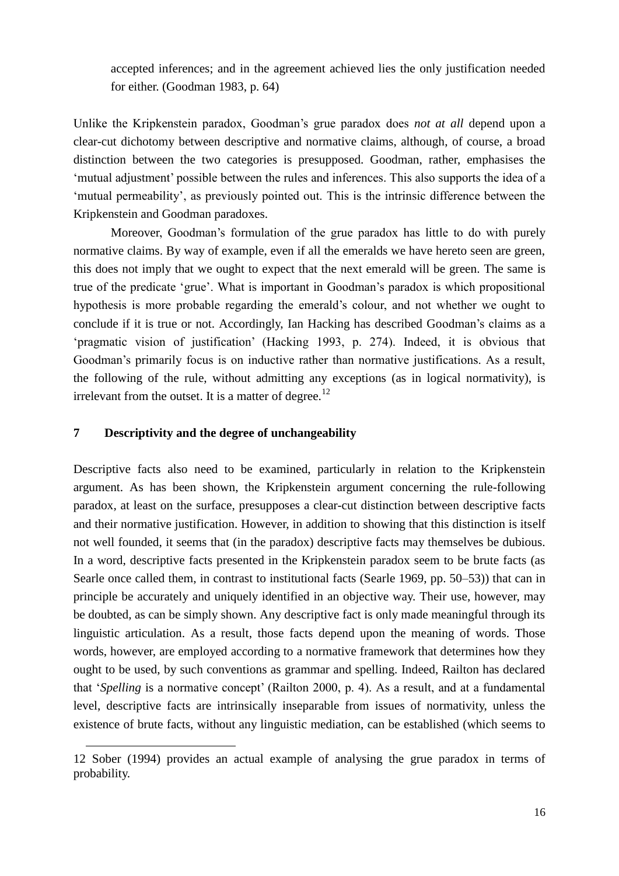accepted inferences; and in the agreement achieved lies the only justification needed for either. (Goodman 1983, p. 64)

Unlike the Kripkenstein paradox, Goodman's grue paradox does *not at all* depend upon a clear-cut dichotomy between descriptive and normative claims, although, of course, a broad distinction between the two categories is presupposed. Goodman, rather, emphasises the 'mutual adjustment' possible between the rules and inferences. This also supports the idea of a 'mutual permeability', as previously pointed out. This is the intrinsic difference between the Kripkenstein and Goodman paradoxes.

Moreover, Goodman's formulation of the grue paradox has little to do with purely normative claims. By way of example, even if all the emeralds we have hereto seen are green, this does not imply that we ought to expect that the next emerald will be green. The same is true of the predicate 'grue'. What is important in Goodman's paradox is which propositional hypothesis is more probable regarding the emerald's colour, and not whether we ought to conclude if it is true or not. Accordingly, Ian Hacking has described Goodman's claims as a 'pragmatic vision of justification' (Hacking 1993, p. 274). Indeed, it is obvious that Goodman's primarily focus is on inductive rather than normative justifications. As a result, the following of the rule, without admitting any exceptions (as in logical normativity), is irrelevant from the outset. It is a matter of degree.<sup>12</sup>

#### **7 Descriptivity and the degree of unchangeability**

-

Descriptive facts also need to be examined, particularly in relation to the Kripkenstein argument. As has been shown, the Kripkenstein argument concerning the rule-following paradox, at least on the surface, presupposes a clear-cut distinction between descriptive facts and their normative justification. However, in addition to showing that this distinction is itself not well founded, it seems that (in the paradox) descriptive facts may themselves be dubious. In a word, descriptive facts presented in the Kripkenstein paradox seem to be brute facts (as Searle once called them, in contrast to institutional facts (Searle 1969, pp. 50–53)) that can in principle be accurately and uniquely identified in an objective way. Their use, however, may be doubted, as can be simply shown. Any descriptive fact is only made meaningful through its linguistic articulation. As a result, those facts depend upon the meaning of words. Those words, however, are employed according to a normative framework that determines how they ought to be used, by such conventions as grammar and spelling. Indeed, Railton has declared that '*Spelling* is a normative concept' (Railton 2000, p. 4). As a result, and at a fundamental level, descriptive facts are intrinsically inseparable from issues of normativity, unless the existence of brute facts, without any linguistic mediation, can be established (which seems to

<sup>12</sup> Sober (1994) provides an actual example of analysing the grue paradox in terms of probability.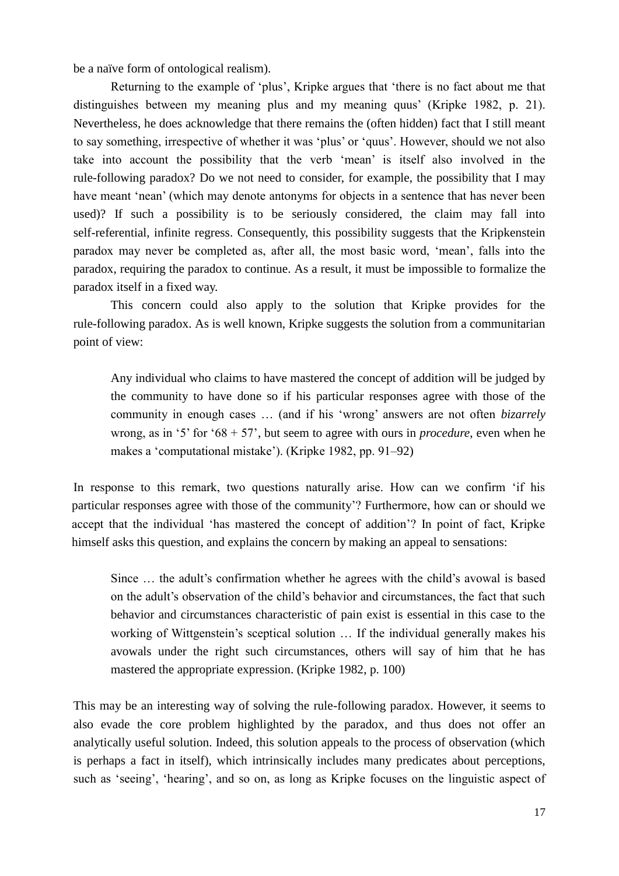be a naïve form of ontological realism).

Returning to the example of 'plus', Kripke argues that 'there is no fact about me that distinguishes between my meaning plus and my meaning quus' (Kripke 1982, p. 21). Nevertheless, he does acknowledge that there remains the (often hidden) fact that I still meant to say something, irrespective of whether it was 'plus' or 'quus'. However, should we not also take into account the possibility that the verb 'mean' is itself also involved in the rule-following paradox? Do we not need to consider, for example, the possibility that I may have meant 'nean' (which may denote antonyms for objects in a sentence that has never been used)? If such a possibility is to be seriously considered, the claim may fall into self-referential, infinite regress. Consequently, this possibility suggests that the Kripkenstein paradox may never be completed as, after all, the most basic word, 'mean', falls into the paradox, requiring the paradox to continue. As a result, it must be impossible to formalize the paradox itself in a fixed way.

This concern could also apply to the solution that Kripke provides for the rule-following paradox. As is well known, Kripke suggests the solution from a communitarian point of view:

Any individual who claims to have mastered the concept of addition will be judged by the community to have done so if his particular responses agree with those of the community in enough cases … (and if his 'wrong' answers are not often *bizarrely*  wrong, as in '5' for '68 + 57', but seem to agree with ours in *procedure*, even when he makes a 'computational mistake'). (Kripke 1982, pp. 91–92)

In response to this remark, two questions naturally arise. How can we confirm 'if his particular responses agree with those of the community'? Furthermore, how can or should we accept that the individual 'has mastered the concept of addition'? In point of fact, Kripke himself asks this question, and explains the concern by making an appeal to sensations:

Since … the adult's confirmation whether he agrees with the child's avowal is based on the adult's observation of the child's behavior and circumstances, the fact that such behavior and circumstances characteristic of pain exist is essential in this case to the working of Wittgenstein's sceptical solution … If the individual generally makes his avowals under the right such circumstances, others will say of him that he has mastered the appropriate expression. (Kripke 1982, p. 100)

This may be an interesting way of solving the rule-following paradox. However, it seems to also evade the core problem highlighted by the paradox, and thus does not offer an analytically useful solution. Indeed, this solution appeals to the process of observation (which is perhaps a fact in itself), which intrinsically includes many predicates about perceptions, such as 'seeing', 'hearing', and so on, as long as Kripke focuses on the linguistic aspect of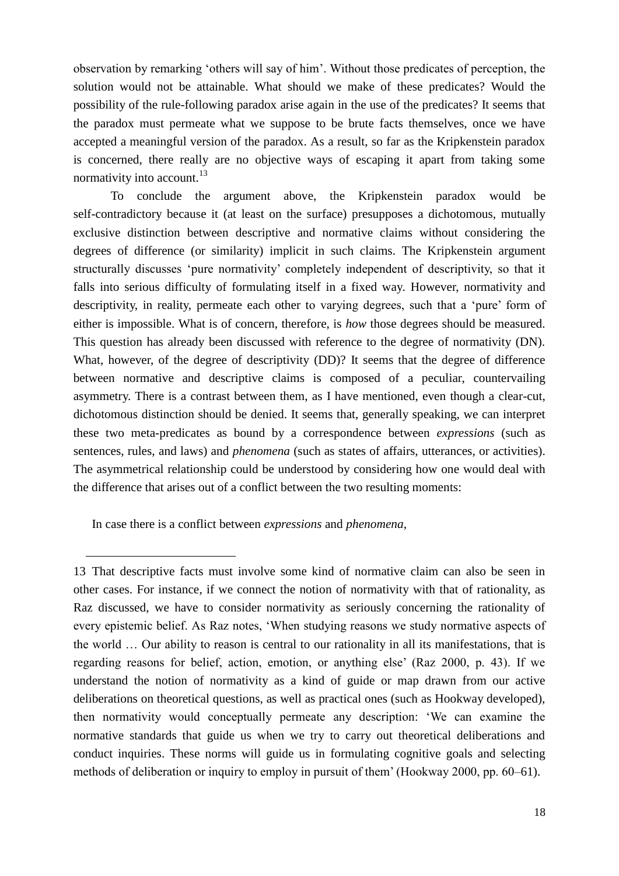observation by remarking 'others will say of him'. Without those predicates of perception, the solution would not be attainable. What should we make of these predicates? Would the possibility of the rule-following paradox arise again in the use of the predicates? It seems that the paradox must permeate what we suppose to be brute facts themselves, once we have accepted a meaningful version of the paradox. As a result, so far as the Kripkenstein paradox is concerned, there really are no objective ways of escaping it apart from taking some normativity into account.<sup>13</sup>

To conclude the argument above, the Kripkenstein paradox would be self-contradictory because it (at least on the surface) presupposes a dichotomous, mutually exclusive distinction between descriptive and normative claims without considering the degrees of difference (or similarity) implicit in such claims. The Kripkenstein argument structurally discusses 'pure normativity' completely independent of descriptivity, so that it falls into serious difficulty of formulating itself in a fixed way. However, normativity and descriptivity, in reality, permeate each other to varying degrees, such that a 'pure' form of either is impossible. What is of concern, therefore, is *how* those degrees should be measured. This question has already been discussed with reference to the degree of normativity (DN). What, however, of the degree of descriptivity (DD)? It seems that the degree of difference between normative and descriptive claims is composed of a peculiar, countervailing asymmetry. There is a contrast between them, as I have mentioned, even though a clear-cut, dichotomous distinction should be denied. It seems that, generally speaking, we can interpret these two meta-predicates as bound by a correspondence between *expressions* (such as sentences, rules, and laws) and *phenomena* (such as states of affairs, utterances, or activities). The asymmetrical relationship could be understood by considering how one would deal with the difference that arises out of a conflict between the two resulting moments:

In case there is a conflict between *expressions* and *phenomena*,

1

<sup>13</sup> That descriptive facts must involve some kind of normative claim can also be seen in other cases. For instance, if we connect the notion of normativity with that of rationality, as Raz discussed, we have to consider normativity as seriously concerning the rationality of every epistemic belief. As Raz notes, 'When studying reasons we study normative aspects of the world … Our ability to reason is central to our rationality in all its manifestations, that is regarding reasons for belief, action, emotion, or anything else' (Raz 2000, p. 43). If we understand the notion of normativity as a kind of guide or map drawn from our active deliberations on theoretical questions, as well as practical ones (such as Hookway developed), then normativity would conceptually permeate any description: 'We can examine the normative standards that guide us when we try to carry out theoretical deliberations and conduct inquiries. These norms will guide us in formulating cognitive goals and selecting methods of deliberation or inquiry to employ in pursuit of them' (Hookway 2000, pp. 60–61).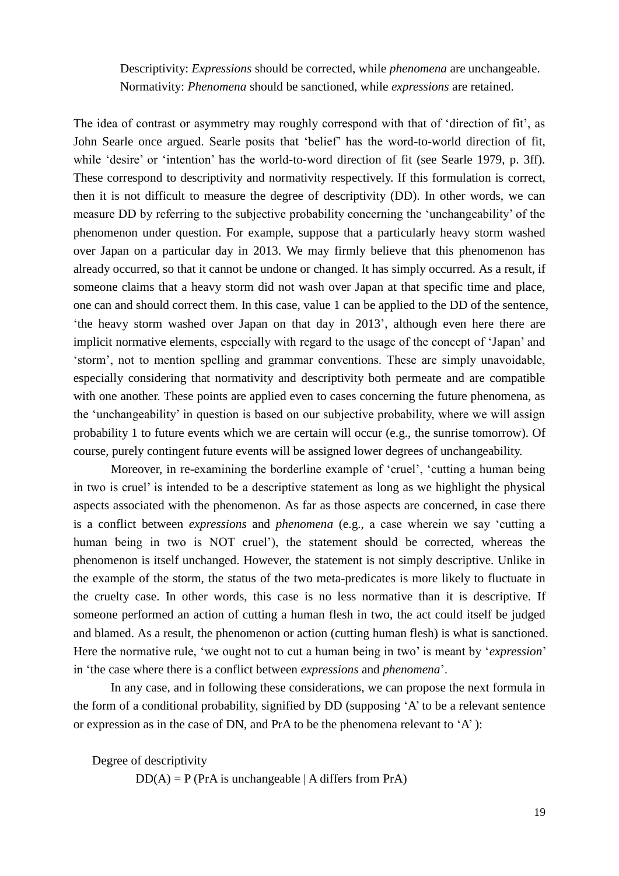Descriptivity: *Expressions* should be corrected, while *phenomena* are unchangeable. Normativity: *Phenomena* should be sanctioned, while *expressions* are retained.

The idea of contrast or asymmetry may roughly correspond with that of 'direction of fit', as John Searle once argued. Searle posits that 'belief' has the word-to-world direction of fit, while 'desire' or 'intention' has the world-to-word direction of fit (see Searle 1979, p. 3ff). These correspond to descriptivity and normativity respectively. If this formulation is correct, then it is not difficult to measure the degree of descriptivity (DD). In other words, we can measure DD by referring to the subjective probability concerning the 'unchangeability' of the phenomenon under question. For example, suppose that a particularly heavy storm washed over Japan on a particular day in 2013. We may firmly believe that this phenomenon has already occurred, so that it cannot be undone or changed. It has simply occurred. As a result, if someone claims that a heavy storm did not wash over Japan at that specific time and place, one can and should correct them. In this case, value 1 can be applied to the DD of the sentence, 'the heavy storm washed over Japan on that day in 2013', although even here there are implicit normative elements, especially with regard to the usage of the concept of 'Japan' and 'storm', not to mention spelling and grammar conventions. These are simply unavoidable, especially considering that normativity and descriptivity both permeate and are compatible with one another. These points are applied even to cases concerning the future phenomena, as the 'unchangeability' in question is based on our subjective probability, where we will assign probability 1 to future events which we are certain will occur (e.g., the sunrise tomorrow). Of course, purely contingent future events will be assigned lower degrees of unchangeability.

Moreover, in re-examining the borderline example of 'cruel', 'cutting a human being in two is cruel' is intended to be a descriptive statement as long as we highlight the physical aspects associated with the phenomenon. As far as those aspects are concerned, in case there is a conflict between *expressions* and *phenomena* (e.g., a case wherein we say 'cutting a human being in two is NOT cruel'), the statement should be corrected, whereas the phenomenon is itself unchanged. However, the statement is not simply descriptive. Unlike in the example of the storm, the status of the two meta-predicates is more likely to fluctuate in the cruelty case. In other words, this case is no less normative than it is descriptive. If someone performed an action of cutting a human flesh in two, the act could itself be judged and blamed. As a result, the phenomenon or action (cutting human flesh) is what is sanctioned. Here the normative rule, 'we ought not to cut a human being in two' is meant by '*expression*' in 'the case where there is a conflict between *expressions* and *phenomena*'.

In any case, and in following these considerations, we can propose the next formula in the form of a conditional probability, signified by DD (supposing 'A' to be a relevant sentence or expression as in the case of DN, and PrA to be the phenomena relevant to 'A' ):

Degree of descriptivity

 $DD(A) = P (PrA is unchanged be | A differs from PrA)$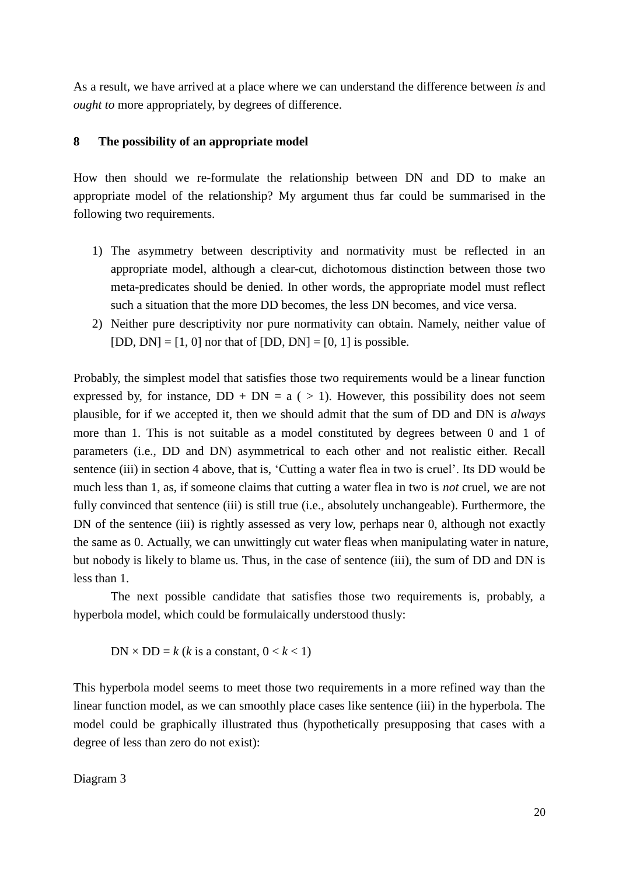As a result, we have arrived at a place where we can understand the difference between *is* and *ought to* more appropriately, by degrees of difference.

#### **8 The possibility of an appropriate model**

How then should we re-formulate the relationship between DN and DD to make an appropriate model of the relationship? My argument thus far could be summarised in the following two requirements.

- 1) The asymmetry between descriptivity and normativity must be reflected in an appropriate model, although a clear-cut, dichotomous distinction between those two meta-predicates should be denied. In other words, the appropriate model must reflect such a situation that the more DD becomes, the less DN becomes, and vice versa.
- 2) Neither pure descriptivity nor pure normativity can obtain. Namely, neither value of  $[DD, DN] = [1, 0]$  nor that of  $[DD, DN] = [0, 1]$  is possible.

Probably, the simplest model that satisfies those two requirements would be a linear function expressed by, for instance,  $DD + DN = a$  ( > 1). However, this possibility does not seem plausible, for if we accepted it, then we should admit that the sum of DD and DN is *always* more than 1. This is not suitable as a model constituted by degrees between 0 and 1 of parameters (i.e., DD and DN) asymmetrical to each other and not realistic either. Recall sentence (iii) in section 4 above, that is, 'Cutting a water flea in two is cruel'. Its DD would be much less than 1, as, if someone claims that cutting a water flea in two is *not* cruel, we are not fully convinced that sentence (iii) is still true (i.e., absolutely unchangeable). Furthermore, the DN of the sentence (iii) is rightly assessed as very low, perhaps near 0, although not exactly the same as 0. Actually, we can unwittingly cut water fleas when manipulating water in nature, but nobody is likely to blame us. Thus, in the case of sentence (iii), the sum of DD and DN is less than 1.

The next possible candidate that satisfies those two requirements is, probably, a hyperbola model, which could be formulaically understood thusly:

 $DN \times DD = k$  (*k* is a constant,  $0 < k < 1$ )

This hyperbola model seems to meet those two requirements in a more refined way than the linear function model, as we can smoothly place cases like sentence (iii) in the hyperbola. The model could be graphically illustrated thus (hypothetically presupposing that cases with a degree of less than zero do not exist):

Diagram 3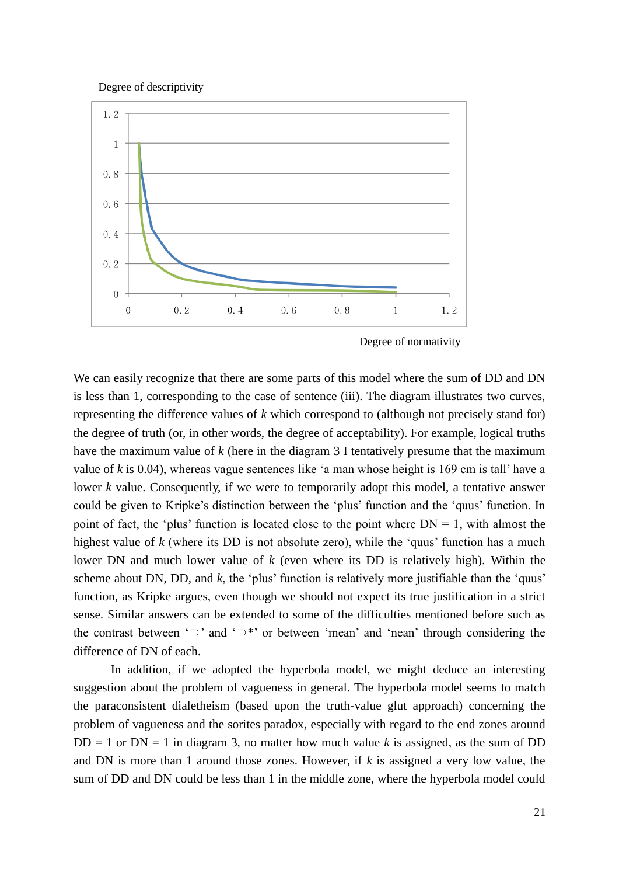Degree of descriptivity



Degree of normativity

We can easily recognize that there are some parts of this model where the sum of DD and DN is less than 1, corresponding to the case of sentence (iii). The diagram illustrates two curves, representing the difference values of *k* which correspond to (although not precisely stand for) the degree of truth (or, in other words, the degree of acceptability). For example, logical truths have the maximum value of *k* (here in the diagram 3 I tentatively presume that the maximum value of *k* is 0.04), whereas vague sentences like 'a man whose height is 169 cm is tall' have a lower *k* value. Consequently, if we were to temporarily adopt this model, a tentative answer could be given to Kripke's distinction between the 'plus' function and the 'quus' function. In point of fact, the 'plus' function is located close to the point where  $DN = 1$ , with almost the highest value of *k* (where its DD is not absolute zero), while the 'quus' function has a much lower DN and much lower value of *k* (even where its DD is relatively high). Within the scheme about DN, DD, and *k*, the 'plus' function is relatively more justifiable than the 'quus' function, as Kripke argues, even though we should not expect its true justification in a strict sense. Similar answers can be extended to some of the difficulties mentioned before such as the contrast between '⊃' and '⊃\*' or between 'mean' and 'nean' through considering the difference of DN of each.

In addition, if we adopted the hyperbola model, we might deduce an interesting suggestion about the problem of vagueness in general. The hyperbola model seems to match the paraconsistent dialetheism (based upon the truth-value glut approach) concerning the problem of vagueness and the sorites paradox, especially with regard to the end zones around  $DD = 1$  or  $DN = 1$  in diagram 3, no matter how much value k is assigned, as the sum of DD and DN is more than 1 around those zones. However, if *k* is assigned a very low value, the sum of DD and DN could be less than 1 in the middle zone, where the hyperbola model could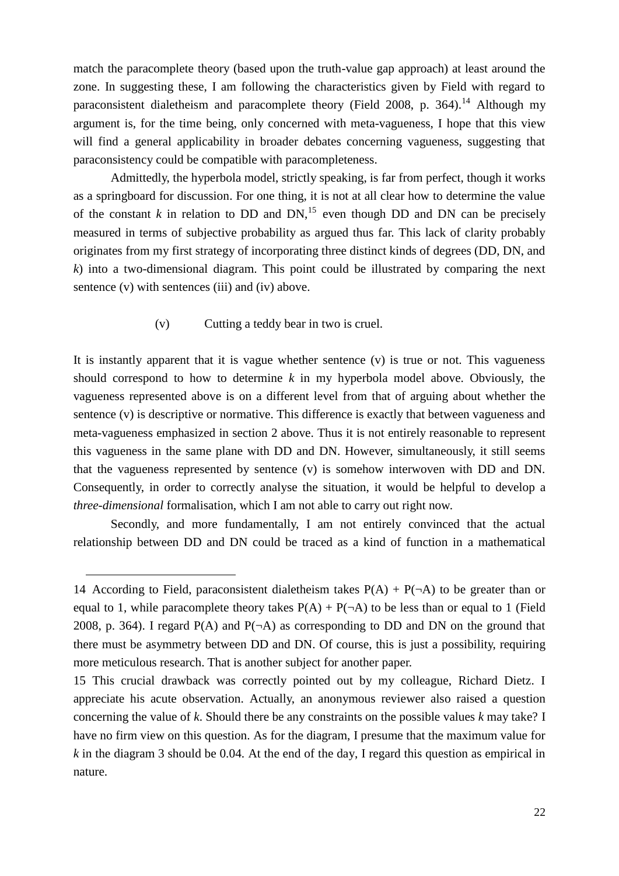match the paracomplete theory (based upon the truth-value gap approach) at least around the zone. In suggesting these, I am following the characteristics given by Field with regard to paraconsistent dialetheism and paracomplete theory (Field 2008, p. 364).<sup>14</sup> Although my argument is, for the time being, only concerned with meta-vagueness, I hope that this view will find a general applicability in broader debates concerning vagueness, suggesting that paraconsistency could be compatible with paracompleteness.

Admittedly, the hyperbola model, strictly speaking, is far from perfect, though it works as a springboard for discussion. For one thing, it is not at all clear how to determine the value of the constant  $k$  in relation to DD and DN,<sup>15</sup> even though DD and DN can be precisely measured in terms of subjective probability as argued thus far. This lack of clarity probably originates from my first strategy of incorporating three distinct kinds of degrees (DD, DN, and *k*) into a two-dimensional diagram. This point could be illustrated by comparing the next sentence (v) with sentences (iii) and (iv) above.

#### (v) Cutting a teddy bear in two is cruel.

It is instantly apparent that it is vague whether sentence (v) is true or not. This vagueness should correspond to how to determine *k* in my hyperbola model above. Obviously, the vagueness represented above is on a different level from that of arguing about whether the sentence (v) is descriptive or normative. This difference is exactly that between vagueness and meta-vagueness emphasized in section 2 above. Thus it is not entirely reasonable to represent this vagueness in the same plane with DD and DN. However, simultaneously, it still seems that the vagueness represented by sentence (v) is somehow interwoven with DD and DN. Consequently, in order to correctly analyse the situation, it would be helpful to develop a *three-dimensional* formalisation, which I am not able to carry out right now.

Secondly, and more fundamentally, I am not entirely convinced that the actual relationship between DD and DN could be traced as a kind of function in a mathematical

-

<sup>14</sup> According to Field, paraconsistent dialetheism takes  $P(A) + P(\neg A)$  to be greater than or equal to 1, while paracomplete theory takes  $P(A) + P(\neg A)$  to be less than or equal to 1 (Field 2008, p. 364). I regard  $P(A)$  and  $P(\neg A)$  as corresponding to DD and DN on the ground that there must be asymmetry between DD and DN. Of course, this is just a possibility, requiring more meticulous research. That is another subject for another paper.

<sup>15</sup> This crucial drawback was correctly pointed out by my colleague, Richard Dietz. I appreciate his acute observation. Actually, an anonymous reviewer also raised a question concerning the value of *k*. Should there be any constraints on the possible values *k* may take? I have no firm view on this question. As for the diagram, I presume that the maximum value for *k* in the diagram 3 should be 0.04. At the end of the day, I regard this question as empirical in nature.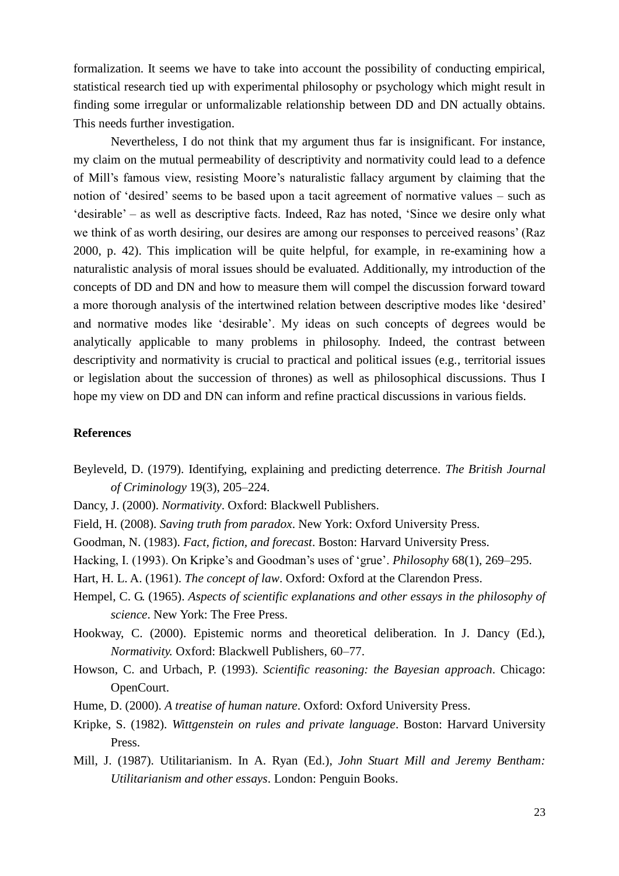formalization. It seems we have to take into account the possibility of conducting empirical, statistical research tied up with experimental philosophy or psychology which might result in finding some irregular or unformalizable relationship between DD and DN actually obtains. This needs further investigation.

Nevertheless, I do not think that my argument thus far is insignificant. For instance, my claim on the mutual permeability of descriptivity and normativity could lead to a defence of Mill's famous view, resisting Moore's naturalistic fallacy argument by claiming that the notion of 'desired' seems to be based upon a tacit agreement of normative values – such as 'desirable' – as well as descriptive facts. Indeed, Raz has noted, 'Since we desire only what we think of as worth desiring, our desires are among our responses to perceived reasons' (Raz 2000, p. 42). This implication will be quite helpful, for example, in re-examining how a naturalistic analysis of moral issues should be evaluated. Additionally, my introduction of the concepts of DD and DN and how to measure them will compel the discussion forward toward a more thorough analysis of the intertwined relation between descriptive modes like 'desired' and normative modes like 'desirable'. My ideas on such concepts of degrees would be analytically applicable to many problems in philosophy. Indeed, the contrast between descriptivity and normativity is crucial to practical and political issues (e.g., territorial issues or legislation about the succession of thrones) as well as philosophical discussions. Thus I hope my view on DD and DN can inform and refine practical discussions in various fields.

#### **References**

- Beyleveld, D. (1979). Identifying, explaining and predicting deterrence. *The British Journal of Criminology* 19(3), 205–224.
- Dancy, J. (2000). *Normativity*. Oxford: Blackwell Publishers.
- Field, H. (2008). *Saving truth from paradox*. New York: Oxford University Press.
- Goodman, N. (1983). *Fact, fiction, and forecast*. Boston: Harvard University Press.
- Hacking, I. (1993). On Kripke's and Goodman's uses of 'grue'. *Philosophy* 68(1), 269–295.
- Hart, H. L. A. (1961). *The concept of law*. Oxford: Oxford at the Clarendon Press.
- Hempel, C. G. (1965). *Aspects of scientific explanations and other essays in the philosophy of science*. New York: The Free Press.
- Hookway, C. (2000). Epistemic norms and theoretical deliberation. In J. Dancy (Ed.), *Normativity.* Oxford: Blackwell Publishers, 60–77.
- Howson, C. and Urbach, P. (1993). *Scientific reasoning: the Bayesian approach*. Chicago: OpenCourt.
- Hume, D. (2000). *A treatise of human nature*. Oxford: Oxford University Press.
- Kripke, S. (1982). *Wittgenstein on rules and private language*. Boston: Harvard University Press.
- Mill, J. (1987). Utilitarianism. In A. Ryan (Ed.), *John Stuart Mill and Jeremy Bentham: Utilitarianism and other essays*. London: Penguin Books.